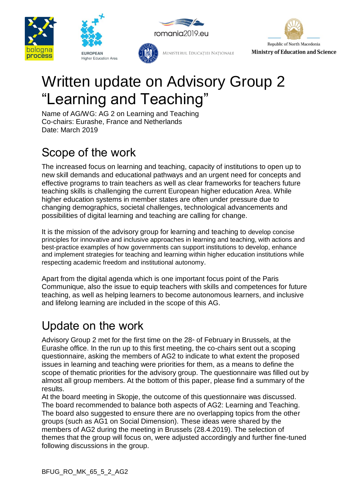







# MINISTERUL EDUCAȚIEI NAȚIONALE

# Written update on Advisory Group 2 "Learning and Teaching"

Name of AG/WG: AG 2 on Learning and Teaching Co-chairs: Eurashe, France and Netherlands Date: March 2019

# Scope of the work

The increased focus on learning and teaching, capacity of institutions to open up to new skill demands and educational pathways and an urgent need for concepts and effective programs to train teachers as well as clear frameworks for teachers future teaching skills is challenging the current European higher education Area. While higher education systems in member states are often under pressure due to changing demographics, societal challenges, technological advancements and possibilities of digital learning and teaching are calling for change.

It is the mission of the advisory group for learning and teaching to develop concise principles for innovative and inclusive approaches in learning and teaching, with actions and best-practice examples of how governments can support institutions to develop, enhance and implement strategies for teaching and learning within higher education institutions while respecting academic freedom and institutional autonomy.

Apart from the digital agenda which is one important focus point of the Paris Communique, also the issue to equip teachers with skills and competences for future teaching, as well as helping learners to become autonomous learners, and inclusive and lifelong learning are included in the scope of this AG.

# Update on the work

Advisory Group 2 met for the first time on the  $28<sup>*</sup>$  of February in Brussels, at the Eurashe office. In the run up to this first meeting, the co-chairs sent out a scoping questionnaire, asking the members of AG2 to indicate to what extent the proposed issues in learning and teaching were priorities for them, as a means to define the scope of thematic priorities for the advisory group. The questionnaire was filled out by almost all group members. At the bottom of this paper, please find a summary of the results.

At the board meeting in Skopje, the outcome of this questionnaire was discussed. The board recommended to balance both aspects of AG2: Learning and Teaching. The board also suggested to ensure there are no overlapping topics from the other groups (such as AG1 on Social Dimension). These ideas were shared by the members of AG2 during the meeting in Brussels (28.4.2019). The selection of themes that the group will focus on, were adjusted accordingly and further fine-tuned following discussions in the group.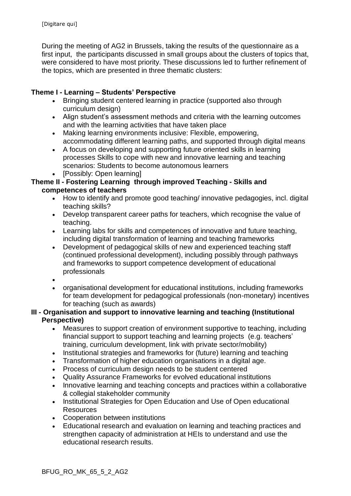During the meeting of AG2 in Brussels, taking the results of the questionnaire as a first input, the participants discussed in small groups about the clusters of topics that, were considered to have most priority. These discussions led to further refinement of the topics, which are presented in three thematic clusters:

#### **Theme I - Learning – Students' Perspective**

- Bringing student centered learning in practice (supported also through curriculum design)
- Align student's assessment methods and criteria with the learning outcomes and with the learning activities that have taken place
- Making learning environments inclusive: Flexible, empowering, accommodating different learning paths, and supported through digital means
- A focus on developing and supporting future oriented skills in learning processes Skills to cope with new and innovative learning and teaching scenarios: Students to become autonomous learners
- [Possibly: Open learning]

#### **Theme II - Fostering Learning through improved Teaching - Skills and competences of teachers**

- How to identify and promote good teaching/ innovative pedagogies, incl. digital teaching skills?
- Develop transparent career paths for teachers, which recognise the value of teaching.
- Learning labs for skills and competences of innovative and future teaching, including digital transformation of learning and teaching frameworks
- Development of pedagogical skills of new and experienced teaching staff (continued professional development), including possibly through pathways and frameworks to support competence development of educational professionals
- •
- organisational development for educational institutions, including frameworks for team development for pedagogical professionals (non-monetary) incentives for teaching (such as awards)

#### **III - Organisation and support to innovative learning and teaching (Institutional Perspective)**

- Measures to support creation of environment supportive to teaching, including financial support to support teaching and learning projects (e.g. teachers' training, curriculum development, link with private sector/mobility)
- Institutional strategies and frameworks for (future) learning and teaching
- Transformation of higher education organisations in a digital age.
- Process of curriculum design needs to be student centered
- Quality Assurance Frameworks for evolved educational institutions
- Innovative learning and teaching concepts and practices within a collaborative & collegial stakeholder community
- Institutional Strategies for Open Education and Use of Open educational **Resources**
- Cooperation between institutions
- Educational research and evaluation on learning and teaching practices and strengthen capacity of administration at HEIs to understand and use the educational research results.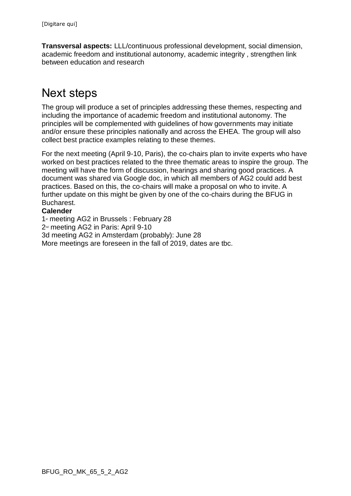**Transversal aspects:** LLL/continuous professional development, social dimension, academic freedom and institutional autonomy, academic integrity , strengthen link between education and research

# Next steps

The group will produce a set of principles addressing these themes, respecting and including the importance of academic freedom and institutional autonomy. The principles will be complemented with guidelines of how governments may initiate and/or ensure these principles nationally and across the EHEA. The group will also collect best practice examples relating to these themes.

For the next meeting (April 9-10, Paris), the co-chairs plan to invite experts who have worked on best practices related to the three thematic areas to inspire the group. The meeting will have the form of discussion, hearings and sharing good practices. A document was shared via Google doc, in which all members of AG2 could add best practices. Based on this, the co-chairs will make a proposal on who to invite. A further update on this might be given by one of the co-chairs during the BFUG in Bucharest.

#### **Calender**

1<sup>st</sup> meeting AG2 in Brussels : February 28 2<sup>nd</sup> meeting AG2 in Paris: April 9-10 3d meeting AG2 in Amsterdam (probably): June 28 More meetings are foreseen in the fall of 2019, dates are tbc.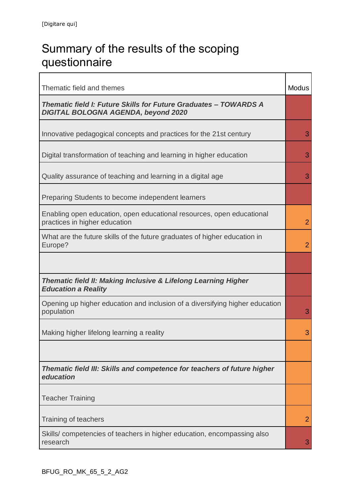# Summary of the results of the scoping questionnaire

| Thematic field and themes                                                                                      | <b>Modus</b>   |
|----------------------------------------------------------------------------------------------------------------|----------------|
| Thematic field I: Future Skills for Future Graduates - TOWARDS A<br><b>DIGITAL BOLOGNA AGENDA, beyond 2020</b> |                |
| Innovative pedagogical concepts and practices for the 21st century                                             | 3              |
| Digital transformation of teaching and learning in higher education                                            | 3              |
| Quality assurance of teaching and learning in a digital age                                                    | 3              |
| Preparing Students to become independent learners                                                              |                |
| Enabling open education, open educational resources, open educational<br>practices in higher education         | $\overline{2}$ |
| What are the future skills of the future graduates of higher education in<br>Europe?                           | $\overline{2}$ |
|                                                                                                                |                |
| <b>Thematic field II: Making Inclusive &amp; Lifelong Learning Higher</b><br><b>Education a Reality</b>        |                |
| Opening up higher education and inclusion of a diversifying higher education<br>population                     | 3              |
| Making higher lifelong learning a reality                                                                      | 3              |
|                                                                                                                |                |
| Thematic field III: Skills and competence for teachers of future higher<br>education                           |                |
| <b>Teacher Training</b>                                                                                        |                |
| Training of teachers                                                                                           | $\overline{2}$ |
| Skills/ competencies of teachers in higher education, encompassing also<br>research                            | 3              |